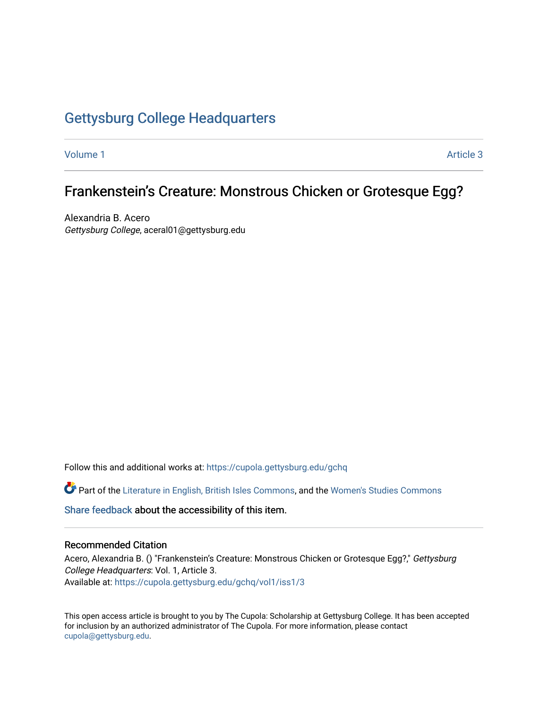## [Gettysburg College Headquarters](https://cupola.gettysburg.edu/gchq)

[Volume 1](https://cupola.gettysburg.edu/gchq/vol1) Article 3

## Frankenstein's Creature: Monstrous Chicken or Grotesque Egg?

Alexandria B. Acero Gettysburg College, aceral01@gettysburg.edu

Follow this and additional works at: [https://cupola.gettysburg.edu/gchq](https://cupola.gettysburg.edu/gchq?utm_source=cupola.gettysburg.edu%2Fgchq%2Fvol1%2Fiss1%2F3&utm_medium=PDF&utm_campaign=PDFCoverPages)

Part of the [Literature in English, British Isles Commons](https://network.bepress.com/hgg/discipline/456?utm_source=cupola.gettysburg.edu%2Fgchq%2Fvol1%2Fiss1%2F3&utm_medium=PDF&utm_campaign=PDFCoverPages), and the [Women's Studies Commons](https://network.bepress.com/hgg/discipline/561?utm_source=cupola.gettysburg.edu%2Fgchq%2Fvol1%2Fiss1%2F3&utm_medium=PDF&utm_campaign=PDFCoverPages) 

[Share feedback](https://docs.google.com/a/bepress.com/forms/d/1h9eEcpBPj5POs5oO6Y5A0blXRmZqykoonyYiZUNyEq8/viewform) about the accessibility of this item.

#### Recommended Citation

Acero, Alexandria B. () "Frankenstein's Creature: Monstrous Chicken or Grotesque Egg?," Gettysburg College Headquarters: Vol. 1, Article 3. Available at: [https://cupola.gettysburg.edu/gchq/vol1/iss1/3](https://cupola.gettysburg.edu/gchq/vol1/iss1/3?utm_source=cupola.gettysburg.edu%2Fgchq%2Fvol1%2Fiss1%2F3&utm_medium=PDF&utm_campaign=PDFCoverPages) 

This open access article is brought to you by The Cupola: Scholarship at Gettysburg College. It has been accepted for inclusion by an authorized administrator of The Cupola. For more information, please contact [cupola@gettysburg.edu.](mailto:cupola@gettysburg.edu)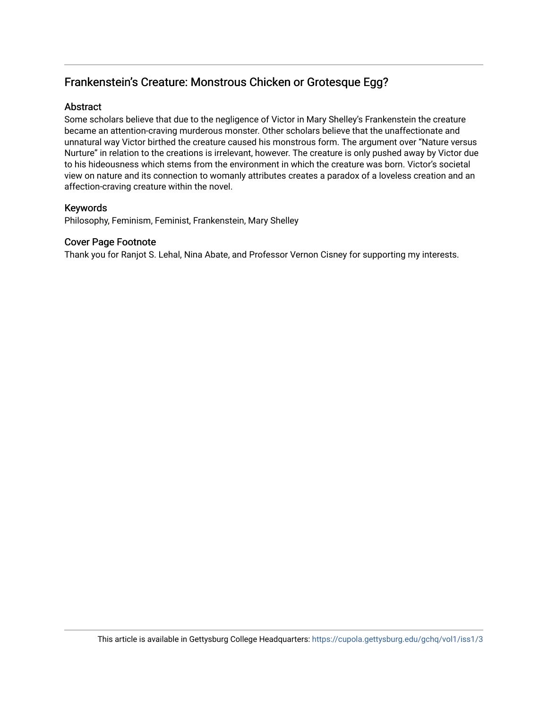## Frankenstein's Creature: Monstrous Chicken or Grotesque Egg?

#### Abstract

Some scholars believe that due to the negligence of Victor in Mary Shelley's Frankenstein the creature became an attention-craving murderous monster. Other scholars believe that the unaffectionate and unnatural way Victor birthed the creature caused his monstrous form. The argument over "Nature versus Nurture" in relation to the creations is irrelevant, however. The creature is only pushed away by Victor due to his hideousness which stems from the environment in which the creature was born. Victor's societal view on nature and its connection to womanly attributes creates a paradox of a loveless creation and an affection-craving creature within the novel.

### Keywords

Philosophy, Feminism, Feminist, Frankenstein, Mary Shelley

#### Cover Page Footnote

Thank you for Ranjot S. Lehal, Nina Abate, and Professor Vernon Cisney for supporting my interests.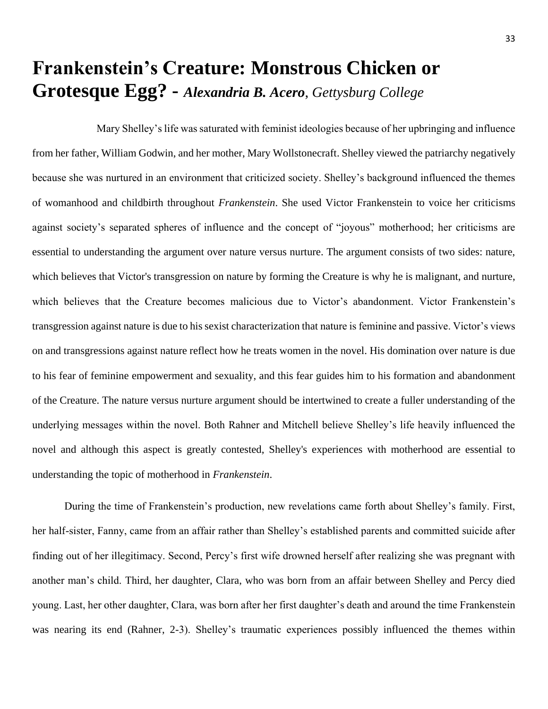# **Frankenstein's Creature: Monstrous Chicken or Grotesque Egg? -** *Alexandria B. Acero*, *Gettysburg College*

Mary Shelley's life was saturated with feminist ideologies because of her upbringing and influence from her father, William Godwin, and her mother, Mary Wollstonecraft. Shelley viewed the patriarchy negatively because she was nurtured in an environment that criticized society. Shelley's background influenced the themes of womanhood and childbirth throughout *Frankenstein*. She used Victor Frankenstein to voice her criticisms against society's separated spheres of influence and the concept of "joyous" motherhood; her criticisms are essential to understanding the argument over nature versus nurture. The argument consists of two sides: nature, which believes that Victor's transgression on nature by forming the Creature is why he is malignant, and nurture, which believes that the Creature becomes malicious due to Victor's abandonment. Victor Frankenstein's transgression against nature is due to his sexist characterization that nature is feminine and passive. Victor's views on and transgressions against nature reflect how he treats women in the novel. His domination over nature is due to his fear of feminine empowerment and sexuality, and this fear guides him to his formation and abandonment of the Creature. The nature versus nurture argument should be intertwined to create a fuller understanding of the underlying messages within the novel. Both Rahner and Mitchell believe Shelley's life heavily influenced the novel and although this aspect is greatly contested, Shelley's experiences with motherhood are essential to understanding the topic of motherhood in *Frankenstein*.

During the time of Frankenstein's production, new revelations came forth about Shelley's family. First, her half-sister, Fanny, came from an affair rather than Shelley's established parents and committed suicide after finding out of her illegitimacy. Second, Percy's first wife drowned herself after realizing she was pregnant with another man's child. Third, her daughter, Clara, who was born from an affair between Shelley and Percy died young. Last, her other daughter, Clara, was born after her first daughter's death and around the time Frankenstein was nearing its end (Rahner, 2-3). Shelley's traumatic experiences possibly influenced the themes within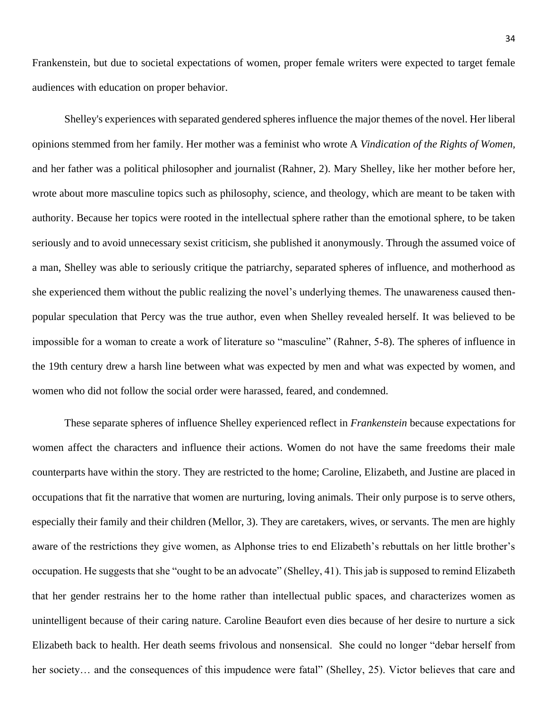Frankenstein, but due to societal expectations of women, proper female writers were expected to target female audiences with education on proper behavior.

Shelley's experiences with separated gendered spheres influence the major themes of the novel. Her liberal opinions stemmed from her family. Her mother was a feminist who wrote A *Vindication of the Rights of Women,* and her father was a political philosopher and journalist (Rahner, 2). Mary Shelley, like her mother before her, wrote about more masculine topics such as philosophy, science, and theology, which are meant to be taken with authority. Because her topics were rooted in the intellectual sphere rather than the emotional sphere, to be taken seriously and to avoid unnecessary sexist criticism, she published it anonymously. Through the assumed voice of a man, Shelley was able to seriously critique the patriarchy, separated spheres of influence, and motherhood as she experienced them without the public realizing the novel's underlying themes. The unawareness caused thenpopular speculation that Percy was the true author, even when Shelley revealed herself. It was believed to be impossible for a woman to create a work of literature so "masculine" (Rahner, 5-8). The spheres of influence in the 19th century drew a harsh line between what was expected by men and what was expected by women, and women who did not follow the social order were harassed, feared, and condemned.

These separate spheres of influence Shelley experienced reflect in *Frankenstein* because expectations for women affect the characters and influence their actions. Women do not have the same freedoms their male counterparts have within the story. They are restricted to the home; Caroline, Elizabeth, and Justine are placed in occupations that fit the narrative that women are nurturing, loving animals. Their only purpose is to serve others, especially their family and their children (Mellor, 3). They are caretakers, wives, or servants. The men are highly aware of the restrictions they give women, as Alphonse tries to end Elizabeth's rebuttals on her little brother's occupation. He suggests that she "ought to be an advocate" (Shelley, 41). This jab is supposed to remind Elizabeth that her gender restrains her to the home rather than intellectual public spaces, and characterizes women as unintelligent because of their caring nature. Caroline Beaufort even dies because of her desire to nurture a sick Elizabeth back to health. Her death seems frivolous and nonsensical. She could no longer "debar herself from her society... and the consequences of this impudence were fatal" (Shelley, 25). Victor believes that care and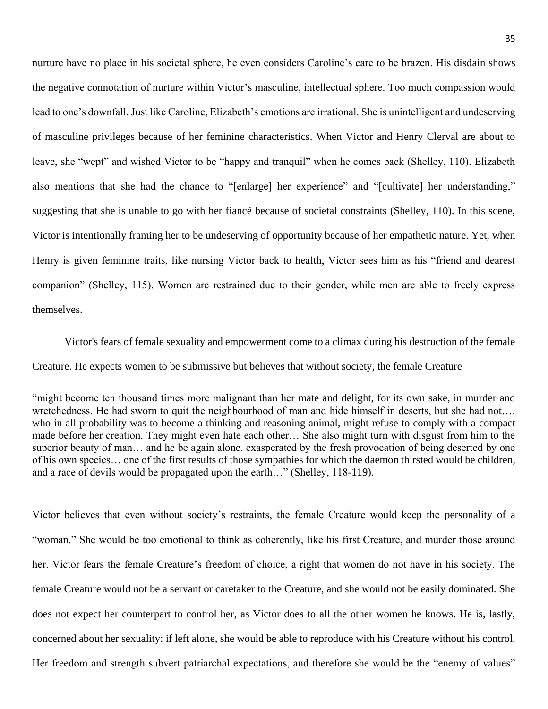nurture have no place in his societal sphere, he even considers Caroline's care to be brazen. His disdain shows the negative connotation of nurture within Victor's masculine, intellectual sphere. Too much compassion would lead to one's downfall. Just like Caroline, Elizabeth's emotions are irrational. She is unintelligent and undeserving of masculine privileges because of her feminine characteristics. When Victor and Henry Clerval are about to leave, she "wept" and wished Victor to be "happy and tranquil" when he comes back (Shelley, 110). Elizabeth also mentions that she had the chance to "[enlarge] her experience" and "[cultivate] her understanding," suggesting that she is unable to go with her fiancé because of societal constraints (Shelley, 110). In this scene, Victor is intentionally framing her to be undeserving of opportunity because of her empathetic nature. Yet, when Henry is given feminine traits, like nursing Victor back to health, Victor sees him as his "friend and dearest companion" (Shelley, 115). Women are restrained due to their gender, while men are able to freely express themselves.

Victor's fears of female sexuality and empowerment come to a climax during his destruction of the female Creature. He expects women to be submissive but believes that without society, the female Creature

"might become ten thousand times more malignant than her mate and delight, for its own sake, in murder and wretchedness. He had sworn to quit the neighbourhood of man and hide himself in deserts, but she had not…. who in all probability was to become a thinking and reasoning animal, might refuse to comply with a compact made before her creation. They might even hate each other… She also might turn with disgust from him to the superior beauty of man… and he be again alone, exasperated by the fresh provocation of being deserted by one of his own species… one of the first results of those sympathies for which the daemon thirsted would be children, and a race of devils would be propagated upon the earth…" (Shelley, 118-119).

Victor believes that even without society's restraints, the female Creature would keep the personality of a "woman." She would be too emotional to think as coherently, like his first Creature, and murder those around her. Victor fears the female Creature's freedom of choice, a right that women do not have in his society. The female Creature would not be a servant or caretaker to the Creature, and she would not be easily dominated. She does not expect her counterpart to control her, as Victor does to all the other women he knows. He is, lastly, concerned about her sexuality: if left alone, she would be able to reproduce with his Creature without his control. Her freedom and strength subvert patriarchal expectations, and therefore she would be the "enemy of values"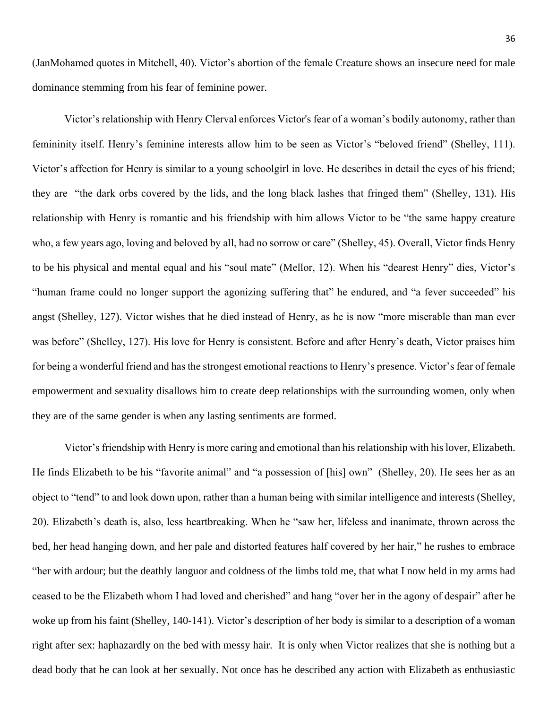(JanMohamed quotes in Mitchell, 40). Victor's abortion of the female Creature shows an insecure need for male dominance stemming from his fear of feminine power.

Victor's relationship with Henry Clerval enforces Victor's fear of a woman's bodily autonomy, rather than femininity itself. Henry's feminine interests allow him to be seen as Victor's "beloved friend" (Shelley, 111). Victor's affection for Henry is similar to a young schoolgirl in love. He describes in detail the eyes of his friend; they are "the dark orbs covered by the lids, and the long black lashes that fringed them" (Shelley, 131). His relationship with Henry is romantic and his friendship with him allows Victor to be "the same happy creature who, a few years ago, loving and beloved by all, had no sorrow or care" (Shelley, 45). Overall, Victor finds Henry to be his physical and mental equal and his "soul mate" (Mellor, 12). When his "dearest Henry" dies, Victor's "human frame could no longer support the agonizing suffering that" he endured, and "a fever succeeded" his angst (Shelley, 127). Victor wishes that he died instead of Henry, as he is now "more miserable than man ever was before" (Shelley, 127). His love for Henry is consistent. Before and after Henry's death, Victor praises him for being a wonderful friend and has the strongest emotional reactions to Henry's presence. Victor's fear of female empowerment and sexuality disallows him to create deep relationships with the surrounding women, only when they are of the same gender is when any lasting sentiments are formed.

Victor's friendship with Henry is more caring and emotional than his relationship with his lover, Elizabeth. He finds Elizabeth to be his "favorite animal" and "a possession of [his] own" (Shelley, 20). He sees her as an object to "tend" to and look down upon, rather than a human being with similar intelligence and interests (Shelley, 20). Elizabeth's death is, also, less heartbreaking. When he "saw her, lifeless and inanimate, thrown across the bed, her head hanging down, and her pale and distorted features half covered by her hair," he rushes to embrace "her with ardour; but the deathly languor and coldness of the limbs told me, that what I now held in my arms had ceased to be the Elizabeth whom I had loved and cherished" and hang "over her in the agony of despair" after he woke up from his faint (Shelley, 140-141). Victor's description of her body is similar to a description of a woman right after sex: haphazardly on the bed with messy hair. It is only when Victor realizes that she is nothing but a dead body that he can look at her sexually. Not once has he described any action with Elizabeth as enthusiastic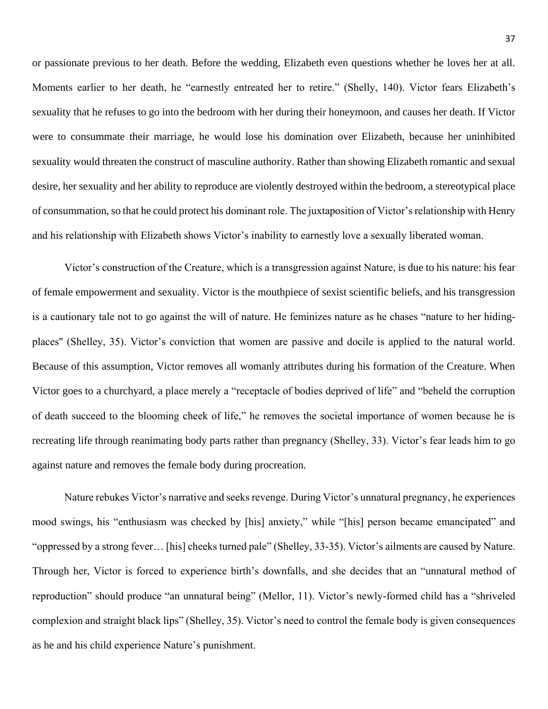or passionate previous to her death. Before the wedding, Elizabeth even questions whether he loves her at all. Moments earlier to her death, he "earnestly entreated her to retire." (Shelly, 140). Victor fears Elizabeth's sexuality that he refuses to go into the bedroom with her during their honeymoon, and causes her death. If Victor were to consummate their marriage, he would lose his domination over Elizabeth, because her uninhibited sexuality would threaten the construct of masculine authority. Rather than showing Elizabeth romantic and sexual desire, her sexuality and her ability to reproduce are violently destroyed within the bedroom, a stereotypical place of consummation, so that he could protect his dominant role. The juxtaposition of Victor's relationship with Henry and his relationship with Elizabeth shows Victor's inability to earnestly love a sexually liberated woman.

Victor's construction of the Creature, which is a transgression against Nature, is due to his nature: his fear of female empowerment and sexuality. Victor is the mouthpiece of sexist scientific beliefs, and his transgression is a cautionary tale not to go against the will of nature. He feminizes nature as he chases "nature to her hidingplaces'' (Shelley, 35). Victor's conviction that women are passive and docile is applied to the natural world. Because of this assumption, Victor removes all womanly attributes during his formation of the Creature. When Victor goes to a churchyard, a place merely a "receptacle of bodies deprived of life" and "beheld the corruption of death succeed to the blooming cheek of life," he removes the societal importance of women because he is recreating life through reanimating body parts rather than pregnancy (Shelley, 33). Victor's fear leads him to go against nature and removes the female body during procreation.

Nature rebukes Victor's narrative and seeks revenge. During Victor's unnatural pregnancy, he experiences mood swings, his "enthusiasm was checked by [his] anxiety," while "[his] person became emancipated" and "oppressed by a strong fever… [his] cheeks turned pale" (Shelley, 33-35). Victor's ailments are caused by Nature. Through her, Victor is forced to experience birth's downfalls, and she decides that an "unnatural method of reproduction" should produce "an unnatural being" (Mellor, 11). Victor's newly-formed child has a "shriveled complexion and straight black lips" (Shelley, 35). Victor's need to control the female body is given consequences as he and his child experience Nature's punishment.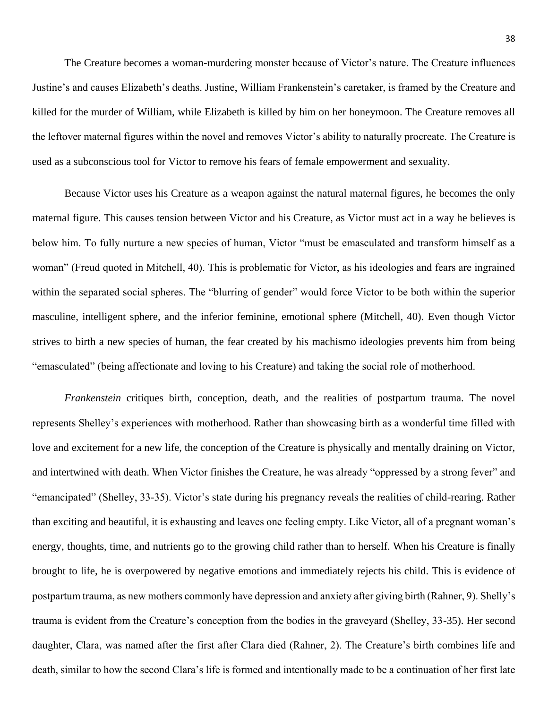The Creature becomes a woman-murdering monster because of Victor's nature. The Creature influences Justine's and causes Elizabeth's deaths. Justine, William Frankenstein's caretaker, is framed by the Creature and killed for the murder of William, while Elizabeth is killed by him on her honeymoon. The Creature removes all the leftover maternal figures within the novel and removes Victor's ability to naturally procreate. The Creature is used as a subconscious tool for Victor to remove his fears of female empowerment and sexuality.

Because Victor uses his Creature as a weapon against the natural maternal figures, he becomes the only maternal figure. This causes tension between Victor and his Creature, as Victor must act in a way he believes is below him. To fully nurture a new species of human, Victor "must be emasculated and transform himself as a woman" (Freud quoted in Mitchell, 40). This is problematic for Victor, as his ideologies and fears are ingrained within the separated social spheres. The "blurring of gender" would force Victor to be both within the superior masculine, intelligent sphere, and the inferior feminine, emotional sphere (Mitchell, 40). Even though Victor strives to birth a new species of human, the fear created by his machismo ideologies prevents him from being "emasculated" (being affectionate and loving to his Creature) and taking the social role of motherhood.

*Frankenstein* critiques birth, conception, death, and the realities of postpartum trauma. The novel represents Shelley's experiences with motherhood. Rather than showcasing birth as a wonderful time filled with love and excitement for a new life, the conception of the Creature is physically and mentally draining on Victor, and intertwined with death. When Victor finishes the Creature, he was already "oppressed by a strong fever" and "emancipated" (Shelley, 33-35). Victor's state during his pregnancy reveals the realities of child-rearing. Rather than exciting and beautiful, it is exhausting and leaves one feeling empty. Like Victor, all of a pregnant woman's energy, thoughts, time, and nutrients go to the growing child rather than to herself. When his Creature is finally brought to life, he is overpowered by negative emotions and immediately rejects his child. This is evidence of postpartum trauma, as new mothers commonly have depression and anxiety after giving birth (Rahner, 9). Shelly's trauma is evident from the Creature's conception from the bodies in the graveyard (Shelley, 33-35). Her second daughter, Clara, was named after the first after Clara died (Rahner, 2). The Creature's birth combines life and death, similar to how the second Clara's life is formed and intentionally made to be a continuation of her first late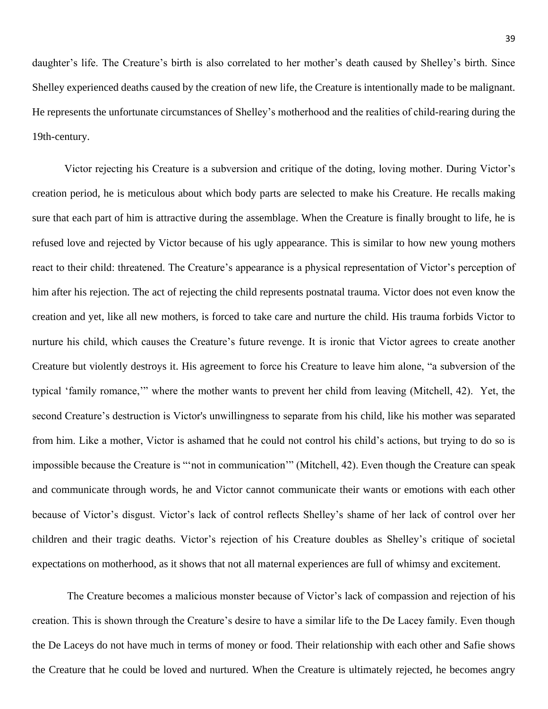daughter's life. The Creature's birth is also correlated to her mother's death caused by Shelley's birth. Since Shelley experienced deaths caused by the creation of new life, the Creature is intentionally made to be malignant. He represents the unfortunate circumstances of Shelley's motherhood and the realities of child-rearing during the 19th-century.

Victor rejecting his Creature is a subversion and critique of the doting, loving mother. During Victor's creation period, he is meticulous about which body parts are selected to make his Creature. He recalls making sure that each part of him is attractive during the assemblage. When the Creature is finally brought to life, he is refused love and rejected by Victor because of his ugly appearance. This is similar to how new young mothers react to their child: threatened. The Creature's appearance is a physical representation of Victor's perception of him after his rejection. The act of rejecting the child represents postnatal trauma. Victor does not even know the creation and yet, like all new mothers, is forced to take care and nurture the child. His trauma forbids Victor to nurture his child, which causes the Creature's future revenge. It is ironic that Victor agrees to create another Creature but violently destroys it. His agreement to force his Creature to leave him alone, "a subversion of the typical 'family romance,'" where the mother wants to prevent her child from leaving (Mitchell, 42). Yet, the second Creature's destruction is Victor's unwillingness to separate from his child, like his mother was separated from him. Like a mother, Victor is ashamed that he could not control his child's actions, but trying to do so is impossible because the Creature is "'not in communication'" (Mitchell, 42). Even though the Creature can speak and communicate through words, he and Victor cannot communicate their wants or emotions with each other because of Victor's disgust. Victor's lack of control reflects Shelley's shame of her lack of control over her children and their tragic deaths. Victor's rejection of his Creature doubles as Shelley's critique of societal expectations on motherhood, as it shows that not all maternal experiences are full of whimsy and excitement.

The Creature becomes a malicious monster because of Victor's lack of compassion and rejection of his creation. This is shown through the Creature's desire to have a similar life to the De Lacey family. Even though the De Laceys do not have much in terms of money or food. Their relationship with each other and Safie shows the Creature that he could be loved and nurtured. When the Creature is ultimately rejected, he becomes angry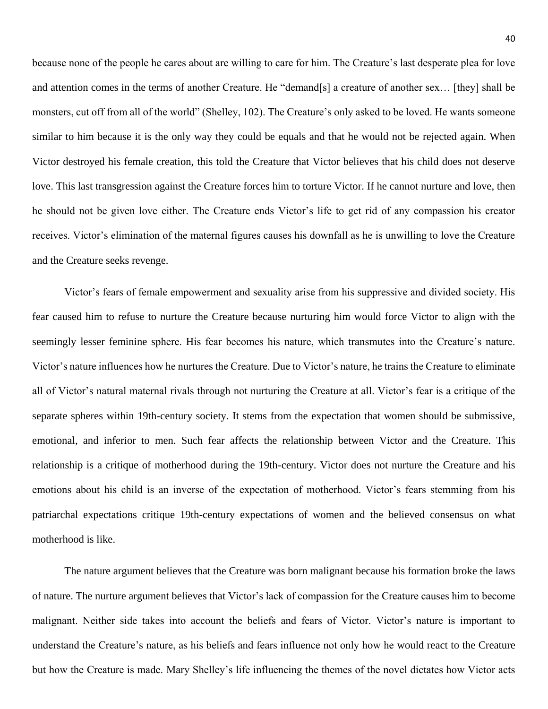because none of the people he cares about are willing to care for him. The Creature's last desperate plea for love and attention comes in the terms of another Creature. He "demand[s] a creature of another sex… [they] shall be monsters, cut off from all of the world" (Shelley, 102). The Creature's only asked to be loved. He wants someone similar to him because it is the only way they could be equals and that he would not be rejected again. When Victor destroyed his female creation, this told the Creature that Victor believes that his child does not deserve love. This last transgression against the Creature forces him to torture Victor. If he cannot nurture and love, then he should not be given love either. The Creature ends Victor's life to get rid of any compassion his creator receives. Victor's elimination of the maternal figures causes his downfall as he is unwilling to love the Creature and the Creature seeks revenge.

Victor's fears of female empowerment and sexuality arise from his suppressive and divided society. His fear caused him to refuse to nurture the Creature because nurturing him would force Victor to align with the seemingly lesser feminine sphere. His fear becomes his nature, which transmutes into the Creature's nature. Victor's nature influences how he nurtures the Creature. Due to Victor's nature, he trains the Creature to eliminate all of Victor's natural maternal rivals through not nurturing the Creature at all. Victor's fear is a critique of the separate spheres within 19th-century society. It stems from the expectation that women should be submissive, emotional, and inferior to men. Such fear affects the relationship between Victor and the Creature. This relationship is a critique of motherhood during the 19th-century. Victor does not nurture the Creature and his emotions about his child is an inverse of the expectation of motherhood. Victor's fears stemming from his patriarchal expectations critique 19th-century expectations of women and the believed consensus on what motherhood is like.

The nature argument believes that the Creature was born malignant because his formation broke the laws of nature. The nurture argument believes that Victor's lack of compassion for the Creature causes him to become malignant. Neither side takes into account the beliefs and fears of Victor. Victor's nature is important to understand the Creature's nature, as his beliefs and fears influence not only how he would react to the Creature but how the Creature is made. Mary Shelley's life influencing the themes of the novel dictates how Victor acts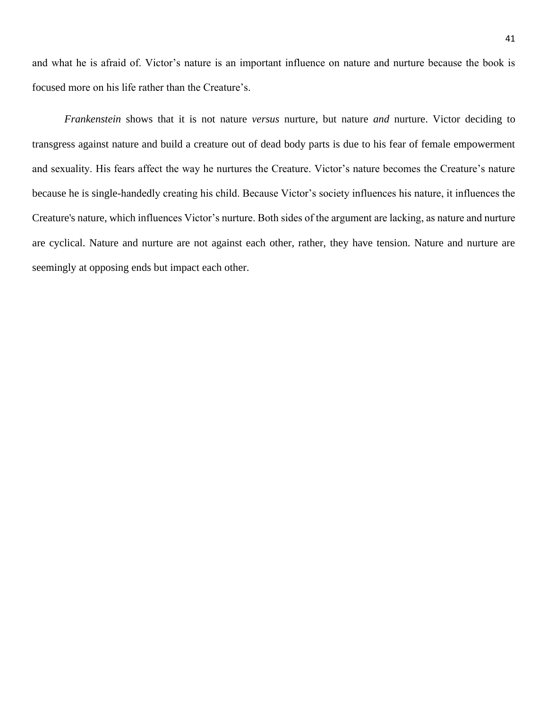and what he is afraid of. Victor's nature is an important influence on nature and nurture because the book is focused more on his life rather than the Creature's.

*Frankenstein* shows that it is not nature *versus* nurture, but nature *and* nurture. Victor deciding to transgress against nature and build a creature out of dead body parts is due to his fear of female empowerment and sexuality. His fears affect the way he nurtures the Creature. Victor's nature becomes the Creature's nature because he is single-handedly creating his child. Because Victor's society influences his nature, it influences the Creature's nature, which influences Victor's nurture. Both sides of the argument are lacking, as nature and nurture are cyclical. Nature and nurture are not against each other, rather, they have tension. Nature and nurture are seemingly at opposing ends but impact each other.